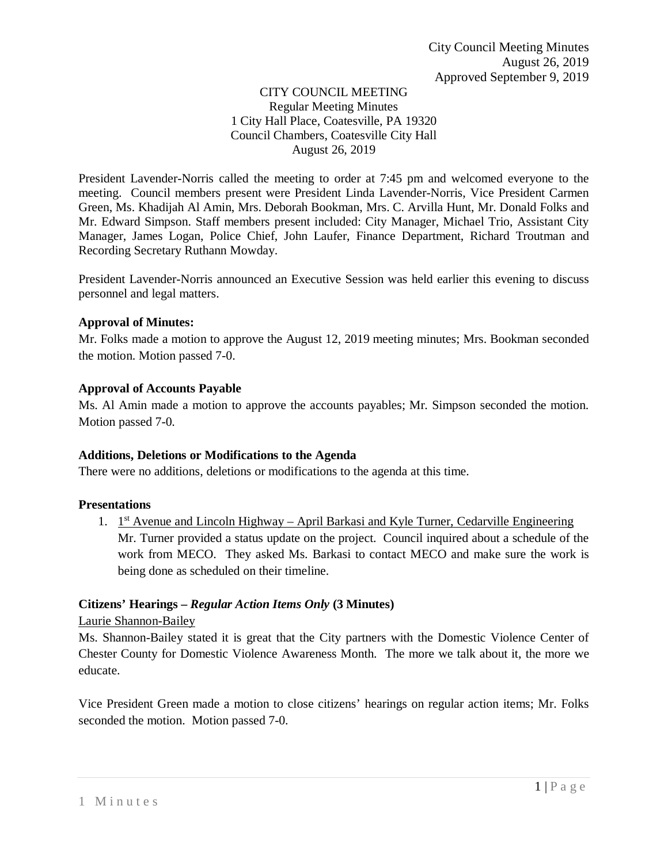### CITY COUNCIL MEETING Regular Meeting Minutes 1 City Hall Place, Coatesville, PA 19320 Council Chambers, Coatesville City Hall August 26, 2019

President Lavender-Norris called the meeting to order at 7:45 pm and welcomed everyone to the meeting. Council members present were President Linda Lavender-Norris, Vice President Carmen Green, Ms. Khadijah Al Amin, Mrs. Deborah Bookman, Mrs. C. Arvilla Hunt, Mr. Donald Folks and Mr. Edward Simpson. Staff members present included: City Manager, Michael Trio, Assistant City Manager, James Logan, Police Chief, John Laufer, Finance Department, Richard Troutman and Recording Secretary Ruthann Mowday.

President Lavender-Norris announced an Executive Session was held earlier this evening to discuss personnel and legal matters.

### **Approval of Minutes:**

Mr. Folks made a motion to approve the August 12, 2019 meeting minutes; Mrs. Bookman seconded the motion. Motion passed 7-0.

#### **Approval of Accounts Payable**

Ms. Al Amin made a motion to approve the accounts payables; Mr. Simpson seconded the motion. Motion passed 7-0.

### **Additions, Deletions or Modifications to the Agenda**

There were no additions, deletions or modifications to the agenda at this time.

#### **Presentations**

1.  $1<sup>st</sup>$  Avenue and Lincoln Highway – April Barkasi and Kyle Turner, Cedarville Engineering Mr. Turner provided a status update on the project. Council inquired about a schedule of the work from MECO. They asked Ms. Barkasi to contact MECO and make sure the work is being done as scheduled on their timeline.

### **Citizens' Hearings –** *Regular Action Items Only* **(3 Minutes)**

Laurie Shannon-Bailey

Ms. Shannon-Bailey stated it is great that the City partners with the Domestic Violence Center of Chester County for Domestic Violence Awareness Month. The more we talk about it, the more we educate.

Vice President Green made a motion to close citizens' hearings on regular action items; Mr. Folks seconded the motion. Motion passed 7-0.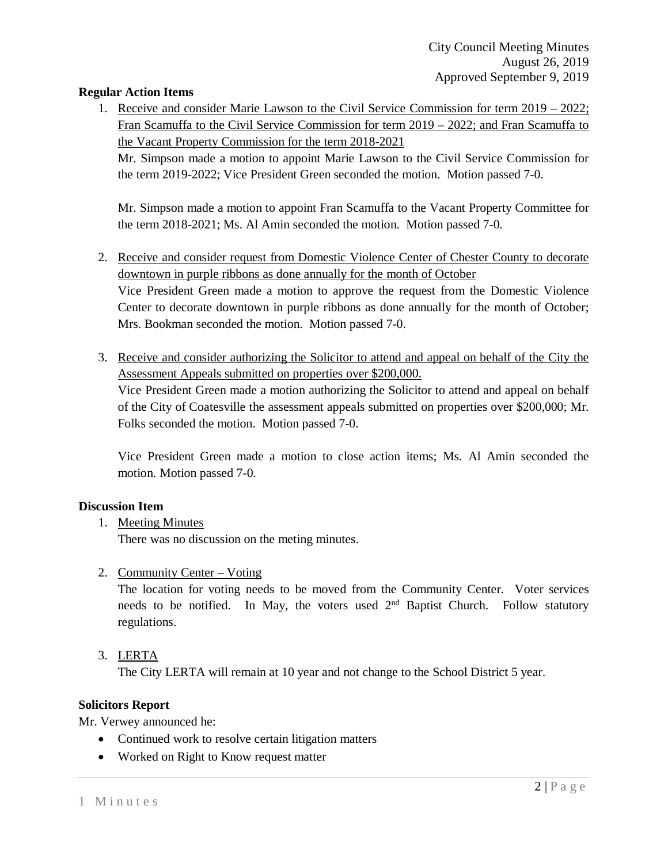### **Regular Action Items**

1. Receive and consider Marie Lawson to the Civil Service Commission for term 2019 – 2022; Fran Scamuffa to the Civil Service Commission for term 2019 – 2022; and Fran Scamuffa to the Vacant Property Commission for the term 2018-2021

Mr. Simpson made a motion to appoint Marie Lawson to the Civil Service Commission for the term 2019-2022; Vice President Green seconded the motion. Motion passed 7-0.

Mr. Simpson made a motion to appoint Fran Scamuffa to the Vacant Property Committee for the term 2018-2021; Ms. Al Amin seconded the motion. Motion passed 7-0.

- 2. Receive and consider request from Domestic Violence Center of Chester County to decorate downtown in purple ribbons as done annually for the month of October Vice President Green made a motion to approve the request from the Domestic Violence Center to decorate downtown in purple ribbons as done annually for the month of October; Mrs. Bookman seconded the motion. Motion passed 7-0.
- 3. Receive and consider authorizing the Solicitor to attend and appeal on behalf of the City the Assessment Appeals submitted on properties over \$200,000.

Vice President Green made a motion authorizing the Solicitor to attend and appeal on behalf of the City of Coatesville the assessment appeals submitted on properties over \$200,000; Mr. Folks seconded the motion. Motion passed 7-0.

Vice President Green made a motion to close action items; Ms. Al Amin seconded the motion. Motion passed 7-0.

### **Discussion Item**

1. Meeting Minutes

There was no discussion on the meting minutes.

2. Community Center – Voting

The location for voting needs to be moved from the Community Center. Voter services needs to be notified. In May, the voters used  $2<sup>nd</sup>$  Baptist Church. Follow statutory regulations.

3. LERTA

The City LERTA will remain at 10 year and not change to the School District 5 year.

### **Solicitors Report**

Mr. Verwey announced he:

- Continued work to resolve certain litigation matters
- Worked on Right to Know request matter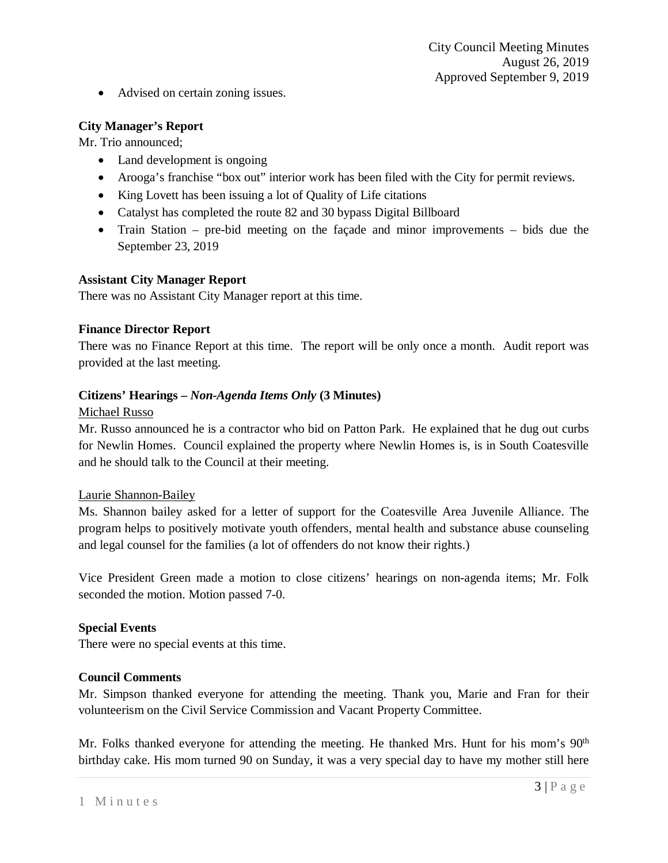• Advised on certain zoning issues.

## **City Manager's Report**

Mr. Trio announced;

- Land development is ongoing
- Arooga's franchise "box out" interior work has been filed with the City for permit reviews.
- King Lovett has been issuing a lot of Quality of Life citations
- Catalyst has completed the route 82 and 30 bypass Digital Billboard
- Train Station pre-bid meeting on the facade and minor improvements bids due the September 23, 2019

### **Assistant City Manager Report**

There was no Assistant City Manager report at this time.

## **Finance Director Report**

There was no Finance Report at this time. The report will be only once a month. Audit report was provided at the last meeting.

## **Citizens' Hearings –** *Non-Agenda Items Only* **(3 Minutes)**

### Michael Russo

Mr. Russo announced he is a contractor who bid on Patton Park. He explained that he dug out curbs for Newlin Homes. Council explained the property where Newlin Homes is, is in South Coatesville and he should talk to the Council at their meeting.

### Laurie Shannon-Bailey

Ms. Shannon bailey asked for a letter of support for the Coatesville Area Juvenile Alliance. The program helps to positively motivate youth offenders, mental health and substance abuse counseling and legal counsel for the families (a lot of offenders do not know their rights.)

Vice President Green made a motion to close citizens' hearings on non-agenda items; Mr. Folk seconded the motion. Motion passed 7-0.

### **Special Events**

There were no special events at this time.

## **Council Comments**

Mr. Simpson thanked everyone for attending the meeting. Thank you, Marie and Fran for their volunteerism on the Civil Service Commission and Vacant Property Committee.

Mr. Folks thanked everyone for attending the meeting. He thanked Mrs. Hunt for his mom's  $90<sup>th</sup>$ birthday cake. His mom turned 90 on Sunday, it was a very special day to have my mother still here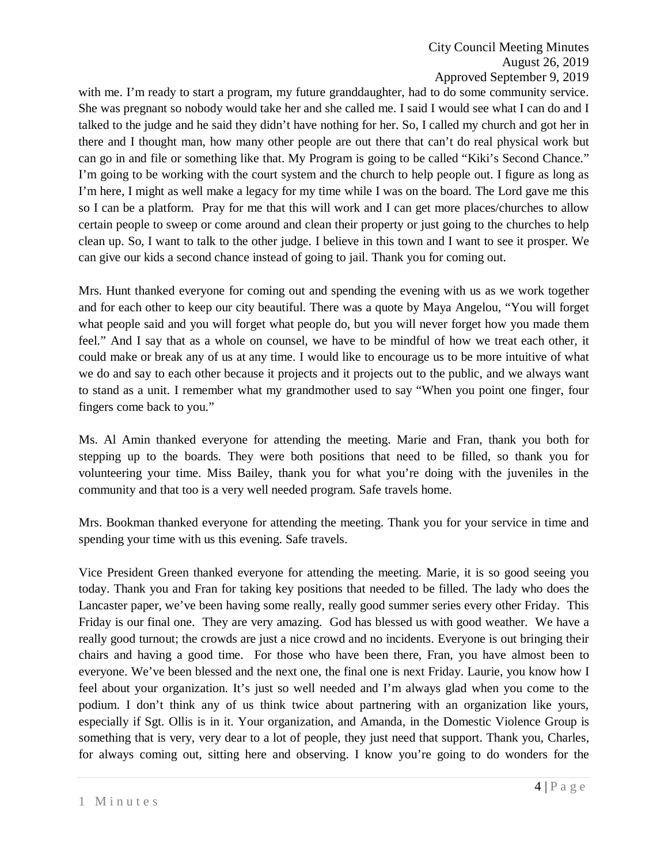with me. I'm ready to start a program, my future granddaughter, had to do some community service. She was pregnant so nobody would take her and she called me. I said I would see what I can do and I talked to the judge and he said they didn't have nothing for her. So, I called my church and got her in there and I thought man, how many other people are out there that can't do real physical work but can go in and file or something like that. My Program is going to be called "Kiki's Second Chance." I'm going to be working with the court system and the church to help people out. I figure as long as I'm here, I might as well make a legacy for my time while I was on the board. The Lord gave me this so I can be a platform. Pray for me that this will work and I can get more places/churches to allow certain people to sweep or come around and clean their property or just going to the churches to help clean up. So, I want to talk to the other judge. I believe in this town and I want to see it prosper. We can give our kids a second chance instead of going to jail. Thank you for coming out.

Mrs. Hunt thanked everyone for coming out and spending the evening with us as we work together and for each other to keep our city beautiful. There was a quote by Maya Angelou, "You will forget what people said and you will forget what people do, but you will never forget how you made them feel." And I say that as a whole on counsel, we have to be mindful of how we treat each other, it could make or break any of us at any time. I would like to encourage us to be more intuitive of what we do and say to each other because it projects and it projects out to the public, and we always want to stand as a unit. I remember what my grandmother used to say "When you point one finger, four fingers come back to you."

Ms. Al Amin thanked everyone for attending the meeting. Marie and Fran, thank you both for stepping up to the boards. They were both positions that need to be filled, so thank you for volunteering your time. Miss Bailey, thank you for what you're doing with the juveniles in the community and that too is a very well needed program. Safe travels home.

Mrs. Bookman thanked everyone for attending the meeting. Thank you for your service in time and spending your time with us this evening. Safe travels.

Vice President Green thanked everyone for attending the meeting. Marie, it is so good seeing you today. Thank you and Fran for taking key positions that needed to be filled. The lady who does the Lancaster paper, we've been having some really, really good summer series every other Friday. This Friday is our final one. They are very amazing. God has blessed us with good weather. We have a really good turnout; the crowds are just a nice crowd and no incidents. Everyone is out bringing their chairs and having a good time. For those who have been there, Fran, you have almost been to everyone. We've been blessed and the next one, the final one is next Friday. Laurie, you know how I feel about your organization. It's just so well needed and I'm always glad when you come to the podium. I don't think any of us think twice about partnering with an organization like yours, especially if Sgt. Ollis is in it. Your organization, and Amanda, in the Domestic Violence Group is something that is very, very dear to a lot of people, they just need that support. Thank you, Charles, for always coming out, sitting here and observing. I know you're going to do wonders for the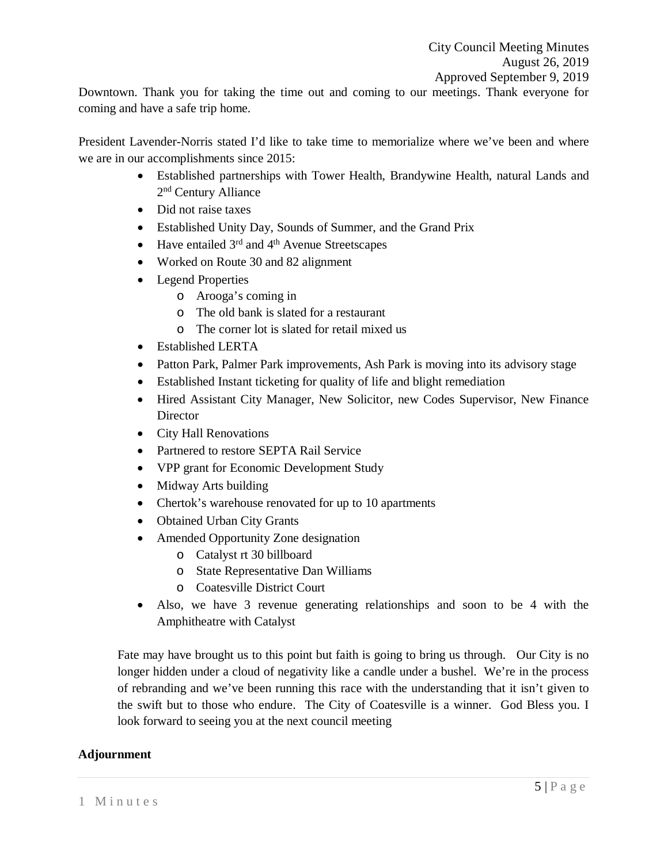Downtown. Thank you for taking the time out and coming to our meetings. Thank everyone for coming and have a safe trip home.

President Lavender-Norris stated I'd like to take time to memorialize where we've been and where we are in our accomplishments since 2015:

- Established partnerships with Tower Health, Brandywine Health, natural Lands and 2nd Century Alliance
- Did not raise taxes
- Established Unity Day, Sounds of Summer, and the Grand Prix
- Have entailed  $3<sup>rd</sup>$  and  $4<sup>th</sup>$  Avenue Streetscapes
- Worked on Route 30 and 82 alignment
- Legend Properties
	- o Arooga's coming in
	- o The old bank is slated for a restaurant
	- o The corner lot is slated for retail mixed us
- Established LERTA
- Patton Park, Palmer Park improvements, Ash Park is moving into its advisory stage
- Established Instant ticketing for quality of life and blight remediation
- Hired Assistant City Manager, New Solicitor, new Codes Supervisor, New Finance **Director**
- City Hall Renovations
- Partnered to restore SEPTA Rail Service
- VPP grant for Economic Development Study
- Midway Arts building
- Chertok's warehouse renovated for up to 10 apartments
- Obtained Urban City Grants
- Amended Opportunity Zone designation
	- o Catalyst rt 30 billboard
	- o State Representative Dan Williams
	- o Coatesville District Court
- Also, we have 3 revenue generating relationships and soon to be 4 with the Amphitheatre with Catalyst

Fate may have brought us to this point but faith is going to bring us through. Our City is no longer hidden under a cloud of negativity like a candle under a bushel. We're in the process of rebranding and we've been running this race with the understanding that it isn't given to the swift but to those who endure. The City of Coatesville is a winner. God Bless you. I look forward to seeing you at the next council meeting

# **Adjournment**